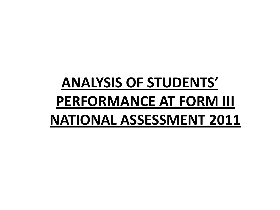# **ANALYSIS OF STUDENTS' PERFORMANCE AT FORM III NATIONAL ASSESSMENT 2011**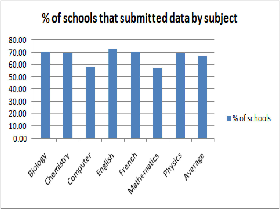# % of schools that submitted data by subject

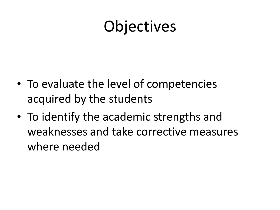# Objectives

- To evaluate the level of competencies acquired by the students
- To identify the academic strengths and weaknesses and take corrective measures where needed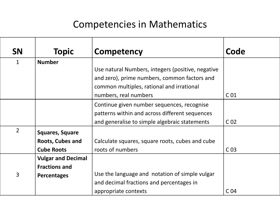#### Competencies in Mathematics

| <b>SN</b>      | <b>Topic</b>              | <b>Competency</b>                                 | Code            |
|----------------|---------------------------|---------------------------------------------------|-----------------|
| 1              | <b>Number</b>             |                                                   |                 |
|                |                           | Use natural Numbers, integers (positive, negative |                 |
|                |                           | and zero), prime numbers, common factors and      |                 |
|                |                           | common multiples, rational and irrational         |                 |
|                |                           | numbers, real numbers                             | C <sub>01</sub> |
|                |                           | Continue given number sequences, recognise        |                 |
|                |                           | patterns within and across different sequences    |                 |
|                |                           | and generalise to simple algebraic statements     | C <sub>02</sub> |
| $\overline{2}$ | <b>Squares, Square</b>    |                                                   |                 |
|                | <b>Roots, Cubes and</b>   | Calculate squares, square roots, cubes and cube   |                 |
|                | <b>Cube Roots</b>         | roots of numbers                                  | C <sub>03</sub> |
|                | <b>Vulgar and Decimal</b> |                                                   |                 |
|                | <b>Fractions and</b>      |                                                   |                 |
| $\overline{3}$ | <b>Percentages</b>        | Use the language and notation of simple vulgar    |                 |
|                |                           | and decimal fractions and percentages in          |                 |
|                |                           | appropriate contexts                              | C <sub>04</sub> |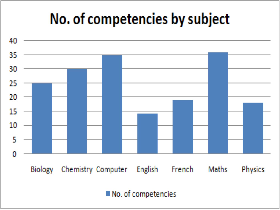# No. of competencies by subject

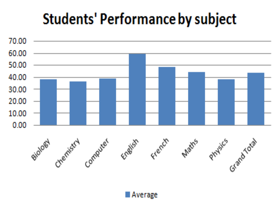# **Students' Performance by subject**



#### l Average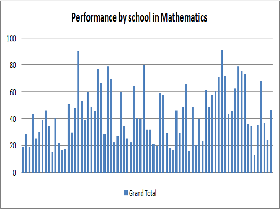# **Performance by school in Mathematics**

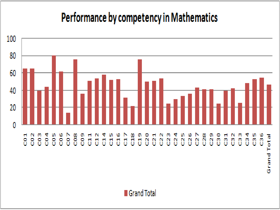## **Performance by competency in Mathematics**

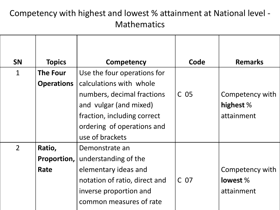#### Competency with highest and lowest % attainment at National level - Mathematics

| <b>SN</b>      | <b>Topics</b>     | Competency                    | Code            | <b>Remarks</b>  |
|----------------|-------------------|-------------------------------|-----------------|-----------------|
| $\mathbf 1$    | The Four          | Use the four operations for   |                 |                 |
|                | <b>Operations</b> | calculations with whole       |                 |                 |
|                |                   | numbers, decimal fractions    | C <sub>05</sub> | Competency with |
|                |                   | and vulgar (and mixed)        |                 | highest %       |
|                |                   | fraction, including correct   |                 | attainment      |
|                |                   | ordering of operations and    |                 |                 |
|                |                   | use of brackets               |                 |                 |
| $\overline{2}$ | Ratio,            | Demonstrate an                |                 |                 |
|                | Proportion,       | understanding of the          |                 |                 |
|                | Rate              | elementary ideas and          |                 | Competency with |
|                |                   | notation of ratio, direct and | C <sub>07</sub> | lowest %        |
|                |                   | inverse proportion and        |                 | attainment      |
|                |                   | common measures of rate       |                 |                 |
|                |                   |                               |                 |                 |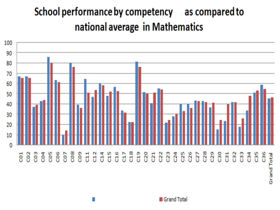### School performance by competency as compared to national average in Mathematics

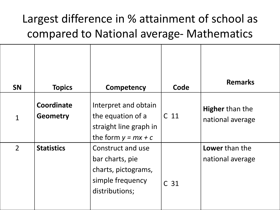## Largest difference in % attainment of school as compared to National average- Mathematics

| <b>SN</b>      | <b>Topics</b>                 | <b>Competency</b>                                                                                 | Code            | <b>Remarks</b>                             |
|----------------|-------------------------------|---------------------------------------------------------------------------------------------------|-----------------|--------------------------------------------|
| $\mathbf 1$    | Coordinate<br><b>Geometry</b> | Interpret and obtain<br>the equation of a<br>straight line graph in<br>the form $y = mx + c$      | C <sub>11</sub> | <b>Higher than the</b><br>national average |
| $\overline{2}$ | <b>Statistics</b>             | Construct and use<br>bar charts, pie<br>charts, pictograms,<br>simple frequency<br>distributions; | C <sub>31</sub> | Lower than the<br>national average         |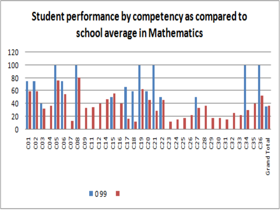# Student performance by competency as compared to school average in Mathematics

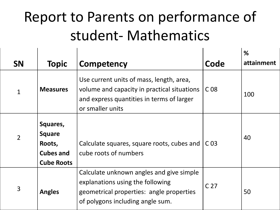# Report to Parents on performance of student- Mathematics

|              |                                                                              |                                                                                                                                                              |                 | %          |
|--------------|------------------------------------------------------------------------------|--------------------------------------------------------------------------------------------------------------------------------------------------------------|-----------------|------------|
| <b>SN</b>    | <b>Topic</b>                                                                 | <b>Competency</b>                                                                                                                                            | Code            | attainment |
| $\mathbf{1}$ | <b>Measures</b>                                                              | Use current units of mass, length, area,<br>volume and capacity in practical situations<br>and express quantities in terms of larger<br>or smaller units     | C <sub>08</sub> | 100        |
| 2            | Squares,<br><b>Square</b><br>Roots,<br><b>Cubes and</b><br><b>Cube Roots</b> | Calculate squares, square roots, cubes and<br>cube roots of numbers                                                                                          | C <sub>03</sub> | 40         |
| 3            | <b>Angles</b>                                                                | Calculate unknown angles and give simple<br>explanations using the following<br>geometrical properties: angle properties<br>of polygons including angle sum. | C <sub>27</sub> | 50         |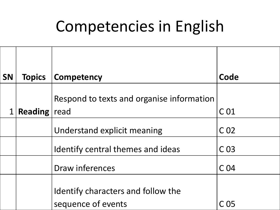# Competencies in English

| <b>SN</b> | <b>Topics</b>  | <b>Competency</b>                                        | Code            |
|-----------|----------------|----------------------------------------------------------|-----------------|
|           |                | Respond to texts and organise information                |                 |
| $1\vert$  | <b>Reading</b> | read                                                     | C <sub>01</sub> |
|           |                | Understand explicit meaning                              | C <sub>02</sub> |
|           |                | Identify central themes and ideas                        | C <sub>03</sub> |
|           |                | Draw inferences                                          | C <sub>04</sub> |
|           |                | Identify characters and follow the<br>sequence of events | C 05            |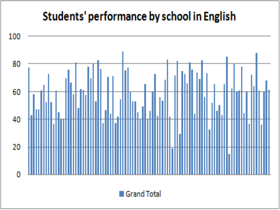## Students' performance by school in English

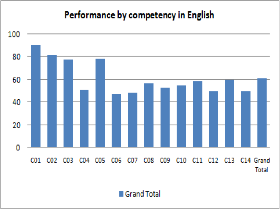#### Performance by competency in English

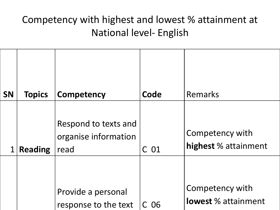#### Competency with highest and lowest % attainment at National level- English

| <b>SN</b>   | <b>Topics</b>  | <b>Competency</b>                                    | Code | Remarks                                       |
|-------------|----------------|------------------------------------------------------|------|-----------------------------------------------|
| $\mathbf 1$ | <b>Reading</b> | Respond to texts and<br>organise information<br>read | C 01 | Competency with<br>highest % attainment       |
|             |                | Provide a personal<br>response to the text           | 06   | Competency with<br><b>lowest</b> % attainment |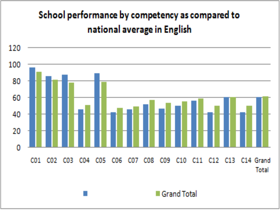### School performance by competency as compared to national average in English

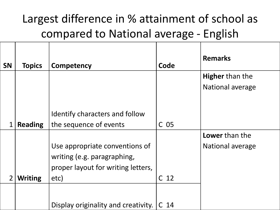## Largest difference in % attainment of school as compared to National average - English

| <b>SN</b>      | <b>Topics</b>  | Competency                          | Code            | <b>Remarks</b>          |
|----------------|----------------|-------------------------------------|-----------------|-------------------------|
|                |                |                                     |                 | <b>Higher than the</b>  |
|                |                |                                     |                 | <b>National average</b> |
|                |                |                                     |                 |                         |
|                |                | Identify characters and follow      |                 |                         |
| $\mathbf 1$    | <b>Reading</b> | the sequence of events              | $C$ 05          |                         |
|                |                |                                     |                 | Lower than the          |
|                |                | Use appropriate conventions of      |                 | <b>National average</b> |
|                |                | writing (e.g. paragraphing,         |                 |                         |
|                |                | proper layout for writing letters,  |                 |                         |
| $\overline{2}$ | <b>Writing</b> | etc)                                | C <sub>12</sub> |                         |
|                |                |                                     |                 |                         |
|                |                | Display originality and creativity. | 14<br>C         |                         |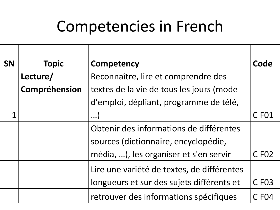# Competencies in French

| <b>SN</b> | <b>Topic</b>  | Competency                                 | Code              |
|-----------|---------------|--------------------------------------------|-------------------|
|           | Lecture/      | Reconnaître, lire et comprendre des        |                   |
|           | Compréhension | textes de la vie de tous les jours (mode   |                   |
|           |               | d'emploi, dépliant, programme de télé,     |                   |
|           |               |                                            | C F01             |
|           |               | Obtenir des informations de différentes    |                   |
|           |               | sources (dictionnaire, encyclopédie,       |                   |
|           |               | média, ), les organiser et s'en servir     | C F <sub>02</sub> |
|           |               | Lire une variété de textes, de différentes |                   |
|           |               | longueurs et sur des sujets différents et  | C F <sub>03</sub> |
|           |               | retrouver des informations spécifiques     | C F <sub>04</sub> |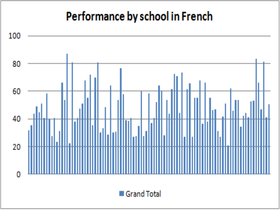## Performance by school in French

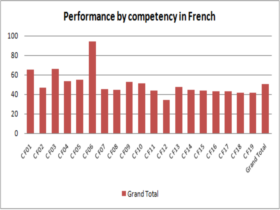### Performance by competency in French

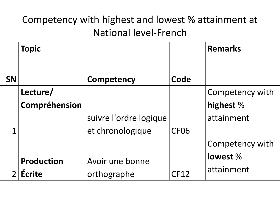#### Competency with highest and lowest % attainment at National level-French

|           | <b>Topic</b>      |                        |                  | <b>Remarks</b>  |
|-----------|-------------------|------------------------|------------------|-----------------|
| <b>SN</b> |                   | <b>Competency</b>      | Code             |                 |
|           | Lecture/          |                        |                  | Competency with |
|           | Compréhension     |                        |                  | highest %       |
|           |                   | suivre l'ordre logique |                  | attainment      |
| 1         |                   | et chronologique       | CF <sub>06</sub> |                 |
|           |                   |                        |                  | Competency with |
|           | <b>Production</b> | Avoir une bonne        |                  | lowest %        |
|           | <b>Écrite</b>     | orthographe            | <b>CF12</b>      | attainment      |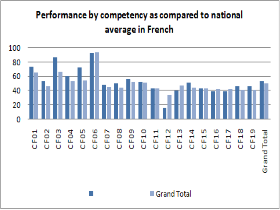### Performance by competency as compared to national average in French

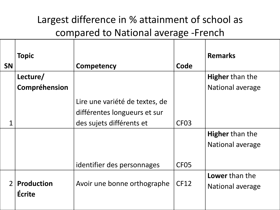### Largest difference in % attainment of school as compared to National average -French

| <b>SN</b>      | <b>Topic</b>                | <b>Competency</b>                                                                          | Code             | <b>Remarks</b>                                    |
|----------------|-----------------------------|--------------------------------------------------------------------------------------------|------------------|---------------------------------------------------|
|                | Lecture/                    |                                                                                            |                  | <b>Higher than the</b>                            |
|                | Compréhension               |                                                                                            |                  | <b>National average</b>                           |
| $\mathbf 1$    |                             | Lire une variété de textes, de<br>différentes longueurs et sur<br>des sujets différents et | CF <sub>03</sub> |                                                   |
|                |                             |                                                                                            |                  | <b>Higher than the</b><br><b>National average</b> |
|                |                             | identifier des personnages                                                                 | CF <sub>05</sub> |                                                   |
| $\overline{2}$ | <b>Production</b><br>Écrite | Avoir une bonne orthographe                                                                | <b>CF12</b>      | Lower than the<br>National average                |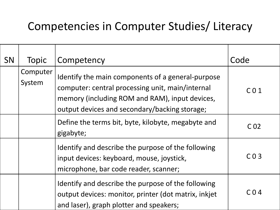### Competencies in Computer Studies/ Literacy

| SN | Topic              | Competency                                                                                                                                                                                               | Code             |
|----|--------------------|----------------------------------------------------------------------------------------------------------------------------------------------------------------------------------------------------------|------------------|
|    | Computer<br>System | Identify the main components of a general-purpose<br>computer: central processing unit, main/internal<br>memory (including ROM and RAM), input devices,<br>output devices and secondary/backing storage; | CO <sub>1</sub>  |
|    |                    | Define the terms bit, byte, kilobyte, megabyte and<br>gigabyte;                                                                                                                                          | C <sub>02</sub>  |
|    |                    | Identify and describe the purpose of the following<br>input devices: keyboard, mouse, joystick,<br>microphone, bar code reader, scanner;                                                                 | C <sub>0</sub> 3 |
|    |                    | Identify and describe the purpose of the following<br>output devices: monitor, printer (dot matrix, inkjet<br>and laser), graph plotter and speakers;                                                    | C <sub>0</sub> 4 |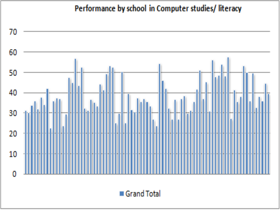#### Performance by school in Computer studies/literacy

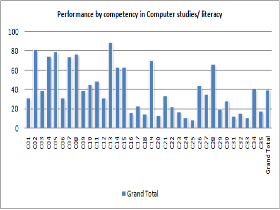#### Performance by competency in Computer studies/literacy

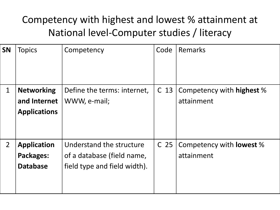#### Competency with highest and lowest % attainment at National level-Computer studies / literacy

| SN             | <b>Topics</b>                                             | Competency                                                                             | Code            | <b>Remarks</b>                                 |
|----------------|-----------------------------------------------------------|----------------------------------------------------------------------------------------|-----------------|------------------------------------------------|
| $\mathbf 1$    | <b>Networking</b><br>and Internet<br><b>Applications</b>  | Define the terms: internet,<br>WWW, e-mail;                                            | C <sub>13</sub> | Competency with <b>highest</b> %<br>attainment |
| $\overline{2}$ | <b>Application</b><br><b>Packages:</b><br><b>Database</b> | Understand the structure<br>of a database (field name,<br>field type and field width). | C <sub>25</sub> | Competency with <b>lowest</b> %<br>attainment  |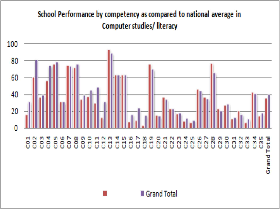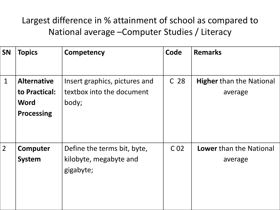Largest difference in % attainment of school as compared to National average –Computer Studies / Literacy

| SN             | <b>Topics</b>                                                           | <b>Competency</b>                                                   | Code            | <b>Remarks</b>                             |
|----------------|-------------------------------------------------------------------------|---------------------------------------------------------------------|-----------------|--------------------------------------------|
| $\mathbf{1}$   | <b>Alternative</b><br>to Practical:<br><b>Word</b><br><b>Processing</b> | Insert graphics, pictures and<br>textbox into the document<br>body; | C <sub>28</sub> | <b>Higher</b> than the National<br>average |
| 2 <sup>1</sup> | Computer<br><b>System</b>                                               | Define the terms bit, byte,<br>kilobyte, megabyte and<br>gigabyte;  | C <sub>02</sub> | <b>Lower</b> than the National<br>average  |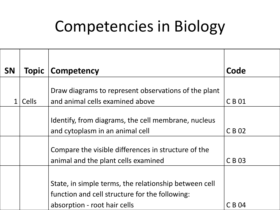# Competencies in Biology

| <b>SN</b> | <b>Topic</b> | <b>Competency</b>                                                                                                                       | Code   |
|-----------|--------------|-----------------------------------------------------------------------------------------------------------------------------------------|--------|
|           |              |                                                                                                                                         |        |
|           |              | Draw diagrams to represent observations of the plant                                                                                    |        |
| 1         | <b>Cells</b> | and animal cells examined above                                                                                                         | C B 01 |
|           |              | Identify, from diagrams, the cell membrane, nucleus                                                                                     |        |
|           |              | and cytoplasm in an animal cell                                                                                                         | C B 02 |
|           |              | Compare the visible differences in structure of the<br>animal and the plant cells examined                                              | C B 03 |
|           |              | State, in simple terms, the relationship between cell<br>function and cell structure for the following:<br>absorption - root hair cells | C B 04 |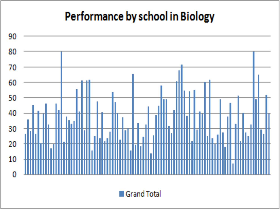## **Performance by school in Biology**

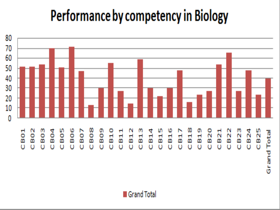# Performance by competency in Biology



Grand Total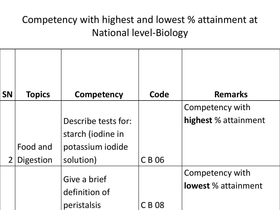#### Competency with highest and lowest % attainment at National level-Biology

| <b>SN</b>      | <b>Topics</b>         | <b>Competency</b>                                                         | Code        | <b>Remarks</b>                                |
|----------------|-----------------------|---------------------------------------------------------------------------|-------------|-----------------------------------------------|
| 2 <sup>1</sup> | Food and<br>Digestion | Describe tests for:<br>starch (iodine in<br>potassium iodide<br>solution) | C B 06      | Competency with<br>highest % attainment       |
|                |                       | Give a brief<br>definition of<br>peristalsis                              | <b>CB08</b> | Competency with<br><b>lowest</b> % attainment |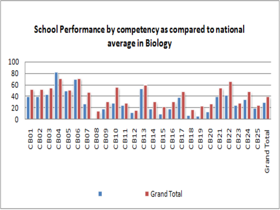### School Performance by competency as compared to national average in Biology

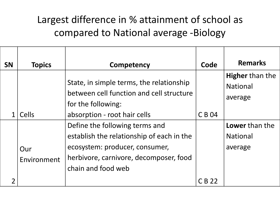#### Largest difference in % attainment of school as compared to National average -Biology

| <b>SN</b> | <b>Topics</b>      | Competency                                                                                                                                                                    | Code   | <b>Remarks</b>                                       |
|-----------|--------------------|-------------------------------------------------------------------------------------------------------------------------------------------------------------------------------|--------|------------------------------------------------------|
|           |                    | State, in simple terms, the relationship<br>between cell function and cell structure<br>for the following:                                                                    |        | <b>Higher than the</b><br><b>National</b><br>average |
|           | <b>Cells</b>       | absorption - root hair cells                                                                                                                                                  | C B 04 |                                                      |
|           | Our<br>Environment | Define the following terms and<br>establish the relationship of each in the<br>ecosystem: producer, consumer,<br>herbivore, carnivore, decomposer, food<br>chain and food web |        | Lower than the<br><b>National</b><br>average         |
|           |                    |                                                                                                                                                                               | C B 22 |                                                      |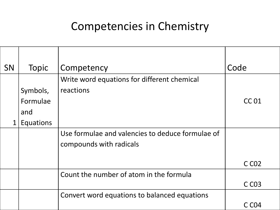### Competencies in Chemistry

| <b>SN</b> | Topic     | Competency                                       | Code              |
|-----------|-----------|--------------------------------------------------|-------------------|
|           |           | Write word equations for different chemical      |                   |
|           | Symbols,  | reactions                                        |                   |
|           | Formulae  |                                                  | <b>CC 01</b>      |
|           | and       |                                                  |                   |
| 1         | Equations |                                                  |                   |
|           |           | Use formulae and valencies to deduce formulae of |                   |
|           |           | compounds with radicals                          |                   |
|           |           |                                                  |                   |
|           |           |                                                  | C C <sub>02</sub> |
|           |           | Count the number of atom in the formula          |                   |
|           |           |                                                  | C C <sub>03</sub> |
|           |           | Convert word equations to balanced equations     |                   |
|           |           |                                                  | C CO4             |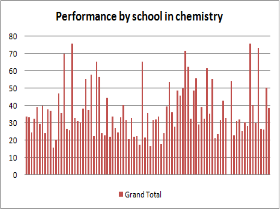## Performance by school in chemistry

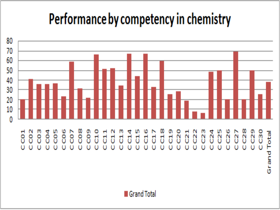# Performance by competency in chemistry

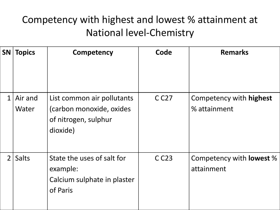#### Competency with highest and lowest % attainment at National level-Chemistry

| <b>SN</b>     | <b>Topics</b>    | <b>Competency</b>                                                                          | Code              | <b>Remarks</b>                                 |
|---------------|------------------|--------------------------------------------------------------------------------------------|-------------------|------------------------------------------------|
| $\mathbf 1$   | Air and<br>Water | List common air pollutants<br>(carbon monoxide, oxides<br>of nitrogen, sulphur<br>dioxide) | C C <sub>27</sub> | Competency with <b>highest</b><br>% attainment |
| $\mathcal{P}$ | Salts            | State the uses of salt for<br>example:<br>Calcium sulphate in plaster<br>of Paris          | C C <sub>23</sub> | Competency with <b>lowest</b> %<br>attainment  |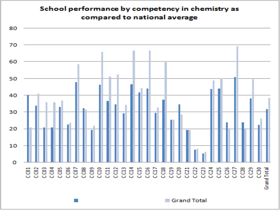#### School performance by competency in chemistry as compared to national average

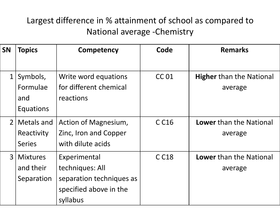#### Largest difference in % attainment of school as compared to National average -Chemistry

| <b>SN</b>      | <b>Topics</b>   | Competency               | Code              | <b>Remarks</b>                  |
|----------------|-----------------|--------------------------|-------------------|---------------------------------|
|                |                 |                          |                   |                                 |
| $\mathbf{1}$   | Symbols,        | Write word equations     | <b>CC 01</b>      | <b>Higher</b> than the National |
|                | Formulae        | for different chemical   |                   | average                         |
|                | and             | reactions                |                   |                                 |
|                | Equations       |                          |                   |                                 |
| 2 <sup>1</sup> | Metals and      | Action of Magnesium,     | C C <sub>16</sub> | <b>Lower than the National</b>  |
|                | Reactivity      | Zinc, Iron and Copper    |                   | average                         |
|                | <b>Series</b>   | with dilute acids        |                   |                                 |
| $\overline{3}$ | <b>Mixtures</b> | Experimental             | C C <sub>18</sub> | <b>Lower</b> than the National  |
|                | and their       | techniques: All          |                   | average                         |
|                | Separation      | separation techniques as |                   |                                 |
|                |                 | specified above in the   |                   |                                 |
|                |                 | syllabus                 |                   |                                 |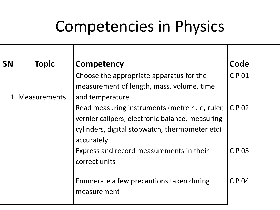# Competencies in Physics

| <b>SN</b> | <b>Topic</b>        | Competency                                                                                                                                                        | Code        |
|-----------|---------------------|-------------------------------------------------------------------------------------------------------------------------------------------------------------------|-------------|
|           |                     | Choose the appropriate apparatus for the<br>measurement of length, mass, volume, time                                                                             | <b>CP01</b> |
|           | <b>Measurements</b> | and temperature                                                                                                                                                   |             |
|           |                     | Read measuring instruments (metre rule, ruler,<br>vernier calipers, electronic balance, measuring<br>cylinders, digital stopwatch, thermometer etc)<br>accurately | C P 02      |
|           |                     | Express and record measurements in their<br>correct units                                                                                                         | CP 03       |
|           |                     | Enumerate a few precautions taken during<br>measurement                                                                                                           | <b>CP04</b> |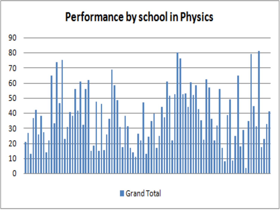# **Performance by school in Physics**

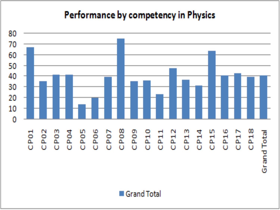#### Performance by competency in Physics

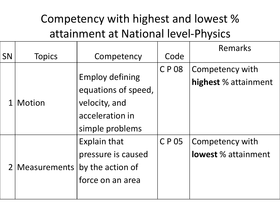## Competency with highest and lowest % attainment at National level-Physics

| <b>SN</b> | <b>Topics</b>       | Competency                                                                                           | Code        | Remarks                                       |
|-----------|---------------------|------------------------------------------------------------------------------------------------------|-------------|-----------------------------------------------|
|           | Motion              | <b>Employ defining</b><br>equations of speed,<br>velocity, and<br>acceleration in<br>simple problems | <b>CP08</b> | Competency with<br>highest % attainment       |
|           | <b>Measurements</b> | <b>Explain that</b><br>pressure is caused<br>by the action of<br>force on an area                    | C P 05      | Competency with<br><b>lowest</b> % attainment |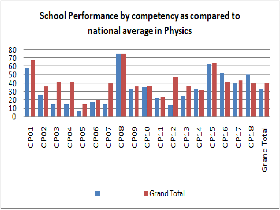### School Performance by competency as compared to national average in Physics